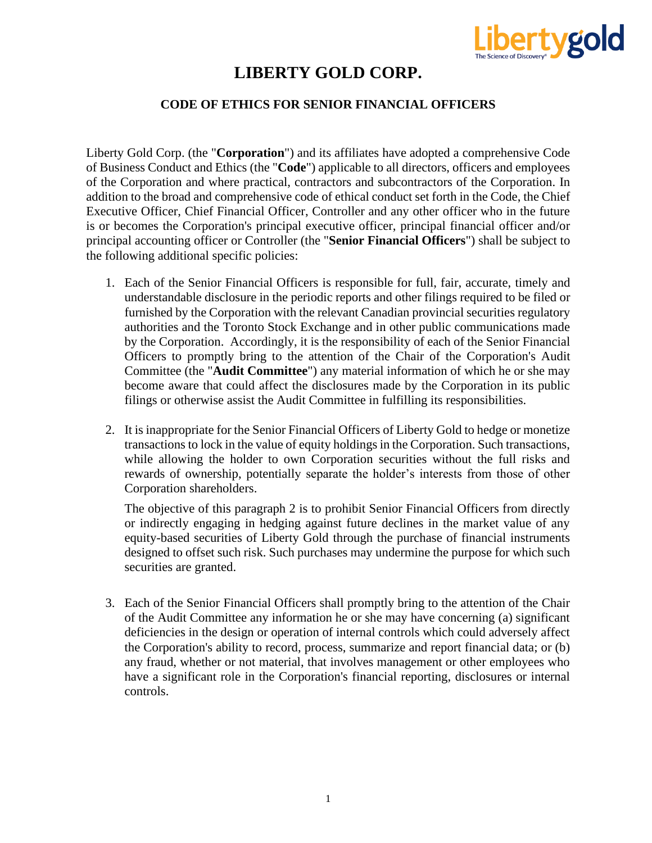

### **LIBERTY GOLD CORP.**

#### **CODE OF ETHICS FOR SENIOR FINANCIAL OFFICERS**

Liberty Gold Corp. (the "**Corporation**") and its affiliates have adopted a comprehensive Code of Business Conduct and Ethics (the "**Code**") applicable to all directors, officers and employees of the Corporation and where practical, contractors and subcontractors of the Corporation. In addition to the broad and comprehensive code of ethical conduct set forth in the Code, the Chief Executive Officer, Chief Financial Officer, Controller and any other officer who in the future is or becomes the Corporation's principal executive officer, principal financial officer and/or principal accounting officer or Controller (the "**Senior Financial Officers**") shall be subject to the following additional specific policies:

- 1. Each of the Senior Financial Officers is responsible for full, fair, accurate, timely and understandable disclosure in the periodic reports and other filings required to be filed or furnished by the Corporation with the relevant Canadian provincial securities regulatory authorities and the Toronto Stock Exchange and in other public communications made by the Corporation. Accordingly, it is the responsibility of each of the Senior Financial Officers to promptly bring to the attention of the Chair of the Corporation's Audit Committee (the "**Audit Committee**") any material information of which he or she may become aware that could affect the disclosures made by the Corporation in its public filings or otherwise assist the Audit Committee in fulfilling its responsibilities.
- 2. It is inappropriate for the Senior Financial Officers of Liberty Gold to hedge or monetize transactions to lock in the value of equity holdings in the Corporation. Such transactions, while allowing the holder to own Corporation securities without the full risks and rewards of ownership, potentially separate the holder's interests from those of other Corporation shareholders.

The objective of this paragraph 2 is to prohibit Senior Financial Officers from directly or indirectly engaging in hedging against future declines in the market value of any equity-based securities of Liberty Gold through the purchase of financial instruments designed to offset such risk. Such purchases may undermine the purpose for which such securities are granted.

3. Each of the Senior Financial Officers shall promptly bring to the attention of the Chair of the Audit Committee any information he or she may have concerning (a) significant deficiencies in the design or operation of internal controls which could adversely affect the Corporation's ability to record, process, summarize and report financial data; or (b) any fraud, whether or not material, that involves management or other employees who have a significant role in the Corporation's financial reporting, disclosures or internal controls.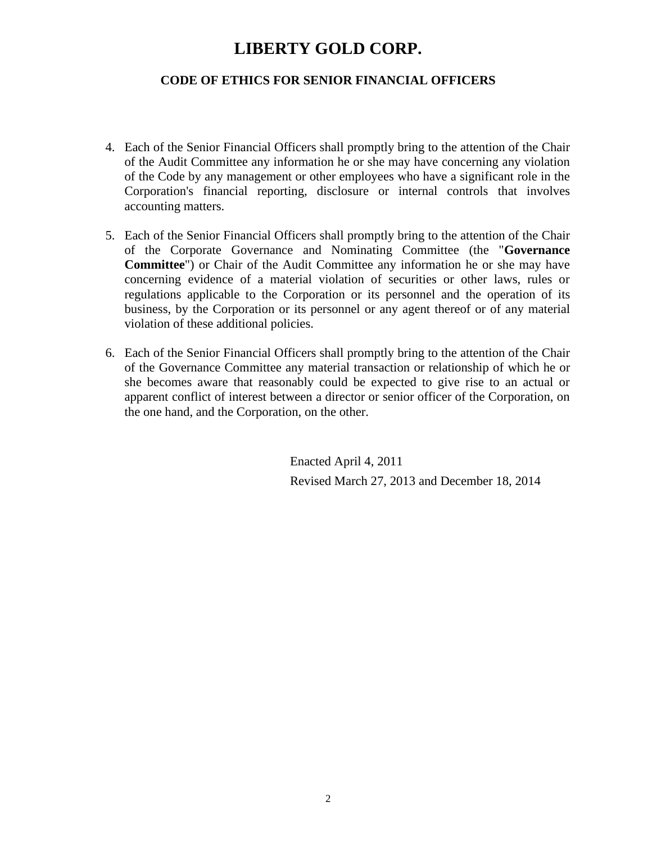## **LIBERTY GOLD CORP.**

#### **CODE OF ETHICS FOR SENIOR FINANCIAL OFFICERS**

- 4. Each of the Senior Financial Officers shall promptly bring to the attention of the Chair of the Audit Committee any information he or she may have concerning any violation of the Code by any management or other employees who have a significant role in the Corporation's financial reporting, disclosure or internal controls that involves accounting matters.
- 5. Each of the Senior Financial Officers shall promptly bring to the attention of the Chair of the Corporate Governance and Nominating Committee (the "**Governance Committee**") or Chair of the Audit Committee any information he or she may have concerning evidence of a material violation of securities or other laws, rules or regulations applicable to the Corporation or its personnel and the operation of its business, by the Corporation or its personnel or any agent thereof or of any material violation of these additional policies.
- 6. Each of the Senior Financial Officers shall promptly bring to the attention of the Chair of the Governance Committee any material transaction or relationship of which he or she becomes aware that reasonably could be expected to give rise to an actual or apparent conflict of interest between a director or senior officer of the Corporation, on the one hand, and the Corporation, on the other.

Enacted April 4, 2011 Revised March 27, 2013 and December 18, 2014